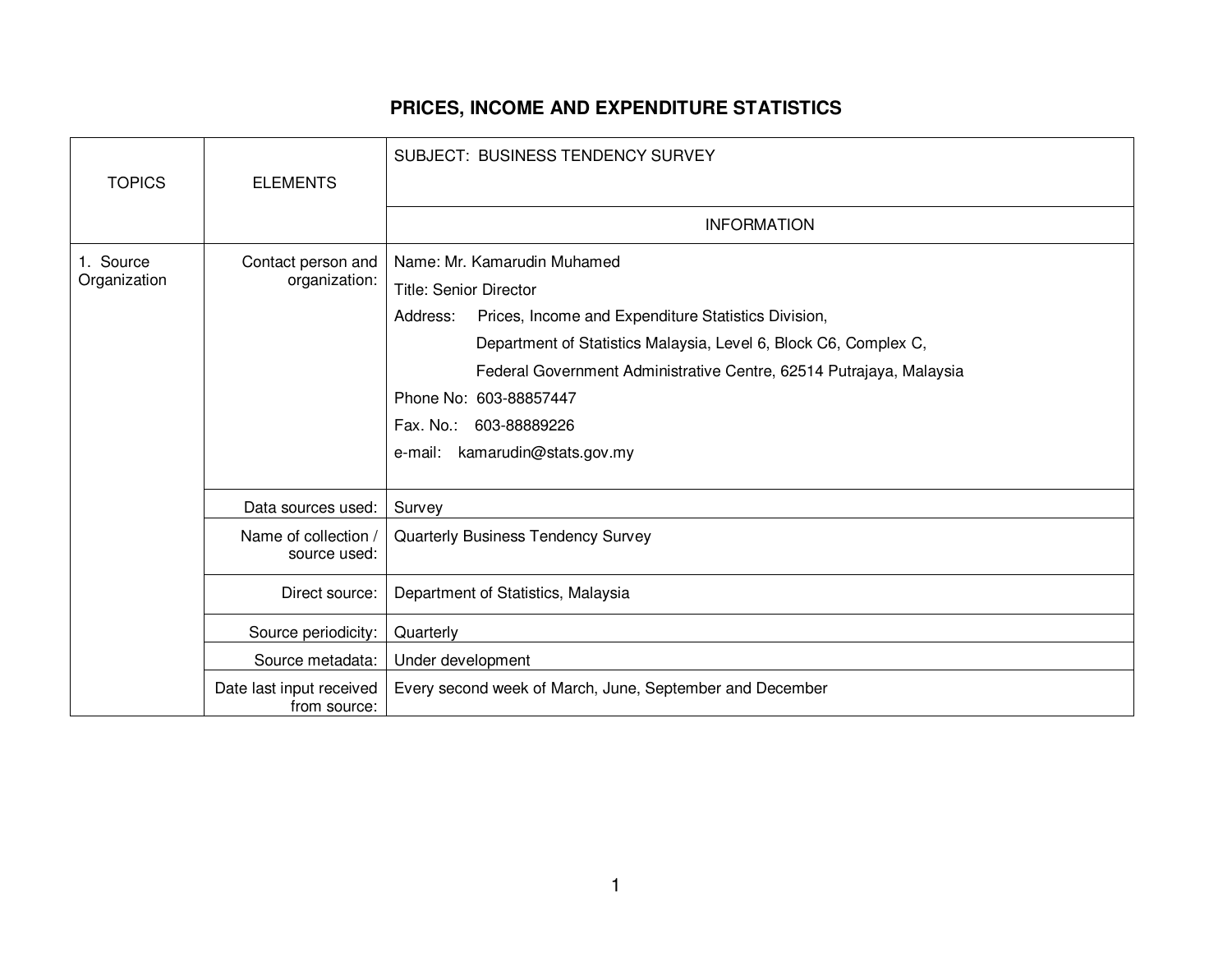## **PRICES, INCOME AND EXPENDITURE STATISTICS**

| <b>TOPICS</b>             | <b>ELEMENTS</b>                          | <b>SUBJECT: BUSINESS TENDENCY SURVEY</b>                            |
|---------------------------|------------------------------------------|---------------------------------------------------------------------|
|                           |                                          |                                                                     |
|                           |                                          | <b>INFORMATION</b>                                                  |
| 1. Source<br>Organization | Contact person and<br>organization:      | Name: Mr. Kamarudin Muhamed                                         |
|                           |                                          | <b>Title: Senior Director</b>                                       |
|                           |                                          | Address:<br>Prices, Income and Expenditure Statistics Division,     |
|                           |                                          | Department of Statistics Malaysia, Level 6, Block C6, Complex C,    |
|                           |                                          | Federal Government Administrative Centre, 62514 Putrajaya, Malaysia |
|                           |                                          | Phone No: 603-88857447                                              |
|                           |                                          | Fax. No.: 603-88889226                                              |
|                           |                                          | e-mail: kamarudin@stats.gov.my                                      |
|                           |                                          |                                                                     |
|                           | Data sources used:                       | Survey                                                              |
|                           | Name of collection /<br>source used:     | Quarterly Business Tendency Survey                                  |
|                           | Direct source:                           | Department of Statistics, Malaysia                                  |
|                           | Source periodicity:                      | Quarterly                                                           |
|                           | Source metadata:                         | Under development                                                   |
|                           | Date last input received<br>from source: | Every second week of March, June, September and December            |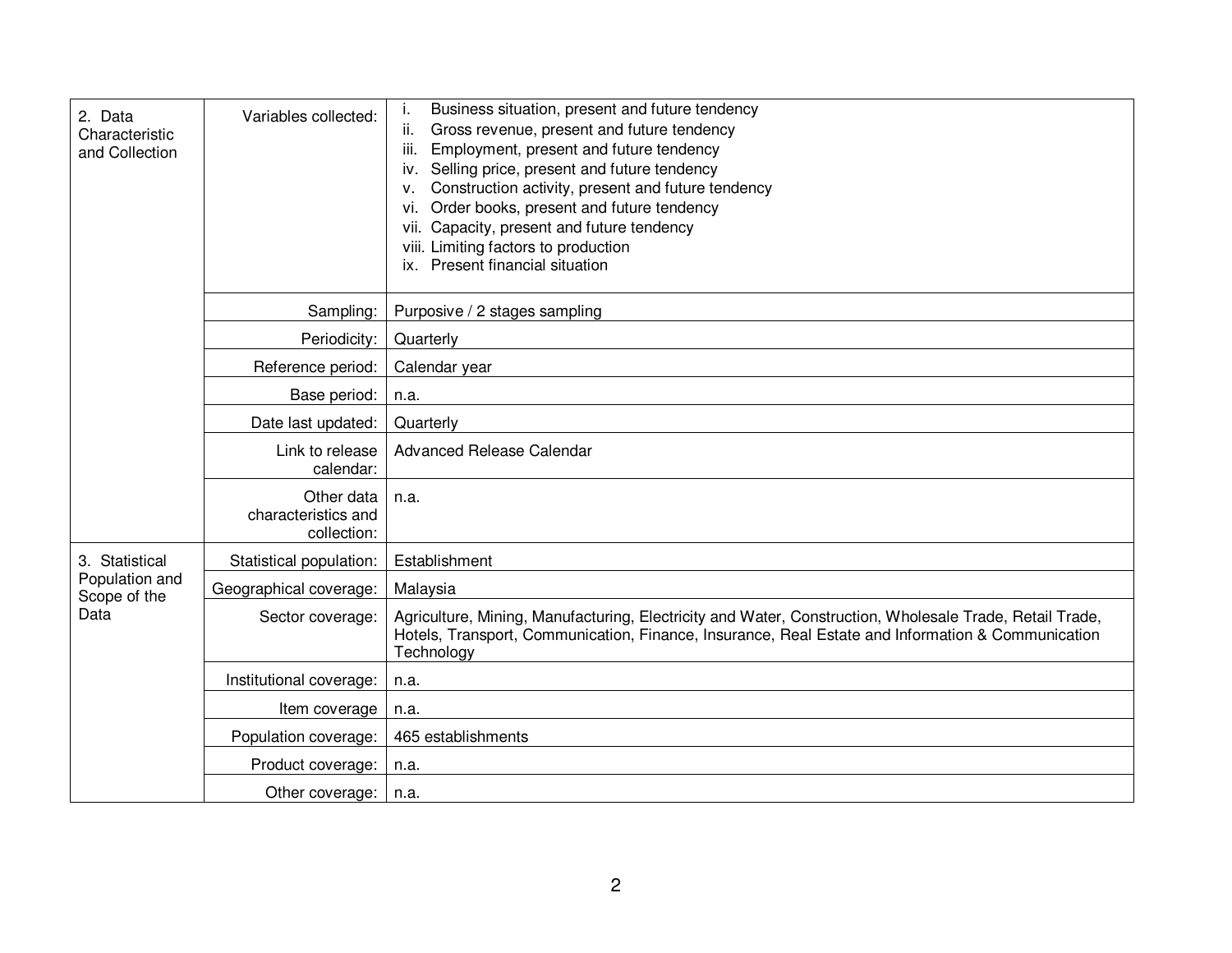| 2. Data<br>Characteristic<br>and Collection              | Variables collected:                             | Business situation, present and future tendency<br>Gross revenue, present and future tendency<br>ii.<br>Employment, present and future tendency<br>iii.<br>iv. Selling price, present and future tendency<br>Construction activity, present and future tendency<br>v.<br>vi. Order books, present and future tendency<br>vii. Capacity, present and future tendency<br>viii. Limiting factors to production<br>ix. Present financial situation |
|----------------------------------------------------------|--------------------------------------------------|------------------------------------------------------------------------------------------------------------------------------------------------------------------------------------------------------------------------------------------------------------------------------------------------------------------------------------------------------------------------------------------------------------------------------------------------|
|                                                          | Sampling:                                        | Purposive / 2 stages sampling                                                                                                                                                                                                                                                                                                                                                                                                                  |
|                                                          | Periodicity:                                     | Quarterly                                                                                                                                                                                                                                                                                                                                                                                                                                      |
|                                                          | Reference period:                                | Calendar year                                                                                                                                                                                                                                                                                                                                                                                                                                  |
|                                                          | Base period:                                     | n.a.                                                                                                                                                                                                                                                                                                                                                                                                                                           |
|                                                          | Date last updated:                               | Quarterly                                                                                                                                                                                                                                                                                                                                                                                                                                      |
|                                                          | Link to release<br>calendar:                     | <b>Advanced Release Calendar</b>                                                                                                                                                                                                                                                                                                                                                                                                               |
|                                                          | Other data<br>characteristics and<br>collection: | n.a.                                                                                                                                                                                                                                                                                                                                                                                                                                           |
| 3. Statistical<br>Population and<br>Scope of the<br>Data | Statistical population:                          | Establishment                                                                                                                                                                                                                                                                                                                                                                                                                                  |
|                                                          | Geographical coverage:                           | Malaysia                                                                                                                                                                                                                                                                                                                                                                                                                                       |
|                                                          | Sector coverage:                                 | Agriculture, Mining, Manufacturing, Electricity and Water, Construction, Wholesale Trade, Retail Trade,<br>Hotels, Transport, Communication, Finance, Insurance, Real Estate and Information & Communication<br>Technology                                                                                                                                                                                                                     |
|                                                          | Institutional coverage:                          | n.a.                                                                                                                                                                                                                                                                                                                                                                                                                                           |
|                                                          | Item coverage                                    | n.a.                                                                                                                                                                                                                                                                                                                                                                                                                                           |
|                                                          | Population coverage:                             | 465 establishments                                                                                                                                                                                                                                                                                                                                                                                                                             |
|                                                          | Product coverage:                                | n.a.                                                                                                                                                                                                                                                                                                                                                                                                                                           |
|                                                          | Other coverage:                                  | n.a.                                                                                                                                                                                                                                                                                                                                                                                                                                           |